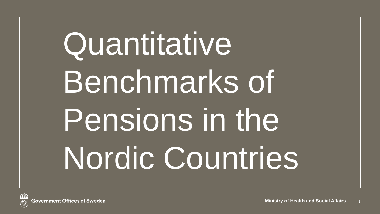# **Quantitative** Benchmarks of Pensions in the Nordic Countries

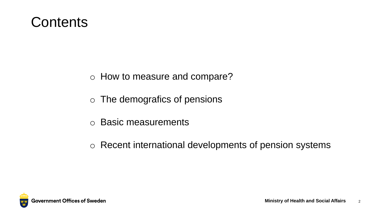### **Contents**

- o How to measure and compare?
- o The demografics of pensions
- o Basic measurements
- o Recent international developments of pension systems

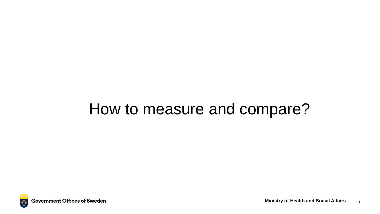# How to measure and compare?

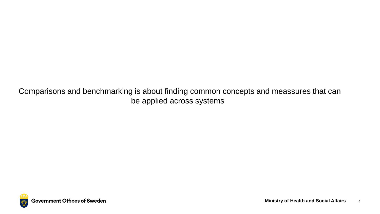Comparisons and benchmarking is about finding common concepts and meassures that can be applied across systems

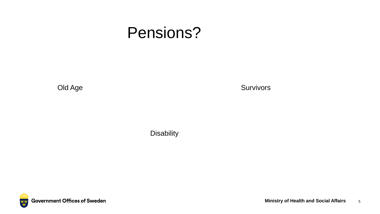### Pensions?

Old Age

**Survivors** 

**Disability** 



**Ministry of Health and Social Affairs** 5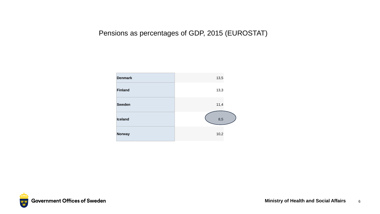#### Pensions as percentages of GDP, 2015 (EUROSTAT)



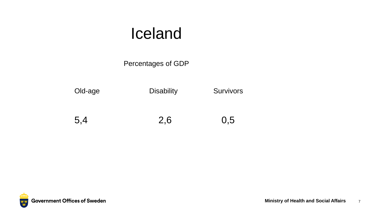# Iceland

Percentages of GDP

Old-age **Disability Survivors** 

5,4 2,6 0,5

**Government Offices of Sweden** 出出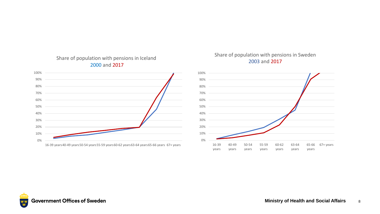

#### Share of population with pensions in Iceland 2000 and 2017





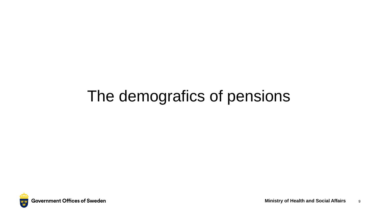# The demografics of pensions

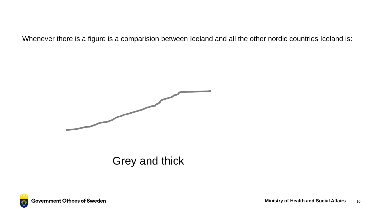Whenever there is a figure is a comparision between Iceland and all the other nordic countries Iceland is:



#### Grey and thick

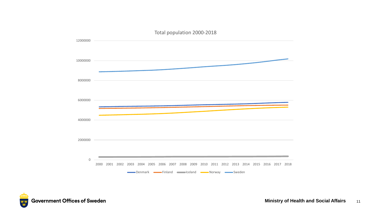

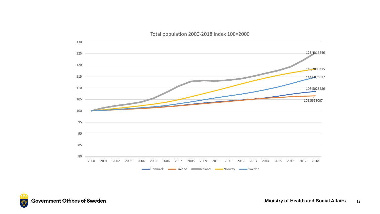Total population 2000-2018 Index 100=2000



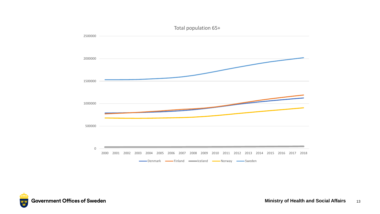

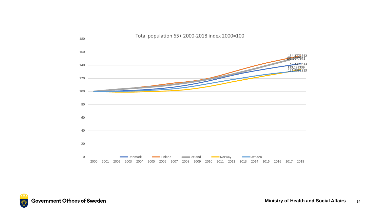

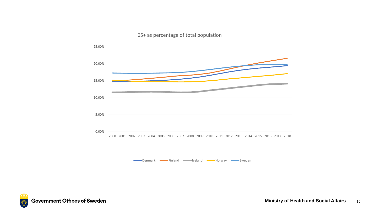#### 65+ as percentage of total population



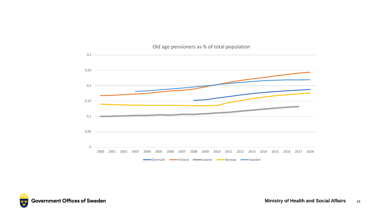



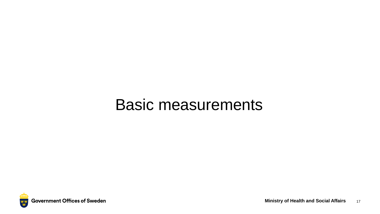# Basic measurements

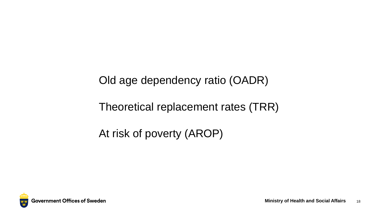Old age dependency ratio (OADR)

### Theoretical replacement rates (TRR)

At risk of poverty (AROP)

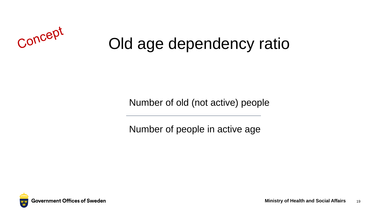# Concept

# Old age dependency ratio

Number of old (not active) people

Number of people in active age

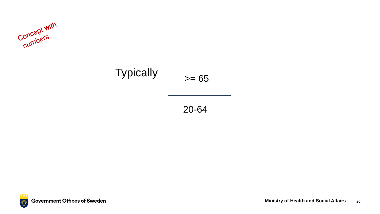



20-64

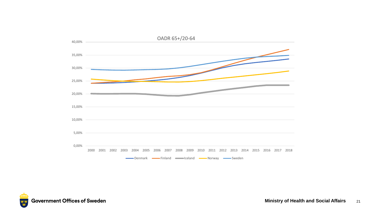

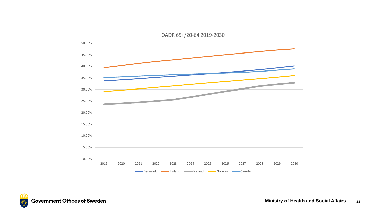

OADR 65+/20-64 2019-2030

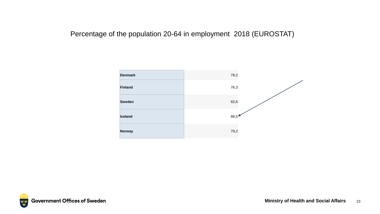#### Percentage of the population 20-64 in employment 2018 (EUROSTAT)



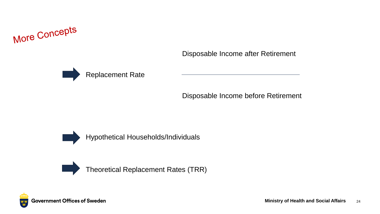More Concepts

Disposable Income after Retirement



Disposable Income before Retirement



Hypothetical Households/Individuals



Theoretical Replacement Rates (TRR)

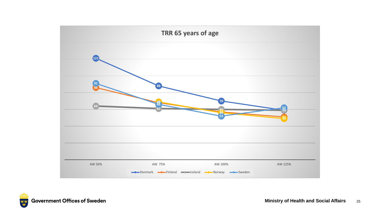

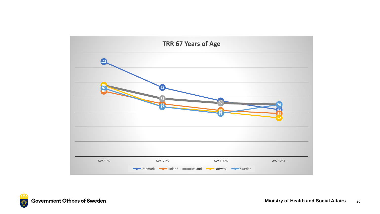

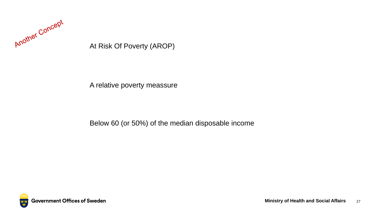

At Risk Of Poverty (AROP)

#### A relative poverty meassure

#### Below 60 (or 50%) of the median disposable income

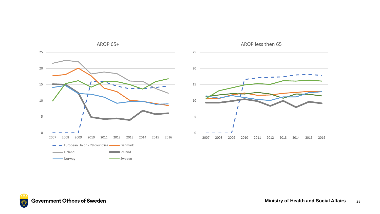

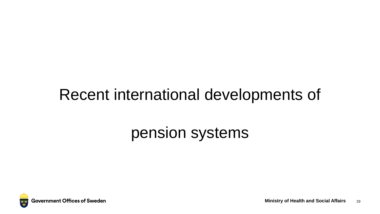# Recent international developments of

### pension systems

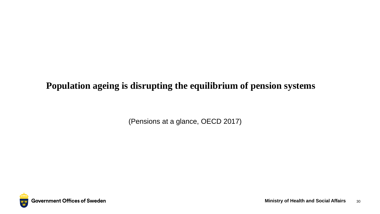#### **Population ageing is disrupting the equilibrium of pension systems**

(Pensions at a glance, OECD 2017)

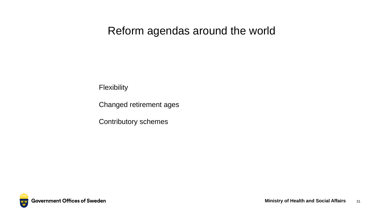#### Reform agendas around the world

**Flexibility** 

Changed retirement ages

Contributory schemes

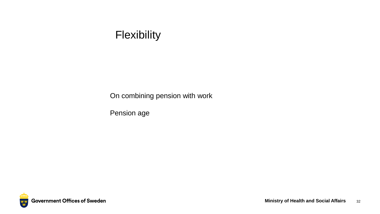#### **Flexibility**

On combining pension with work

Pension age

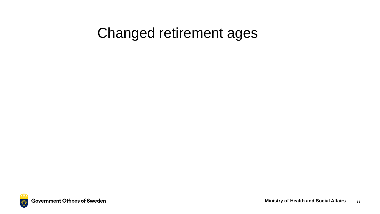### Changed retirement ages

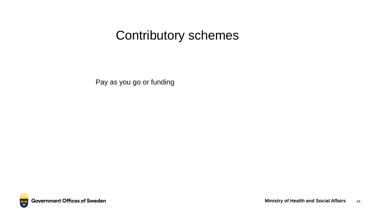### Contributory schemes

Pay as you go or funding